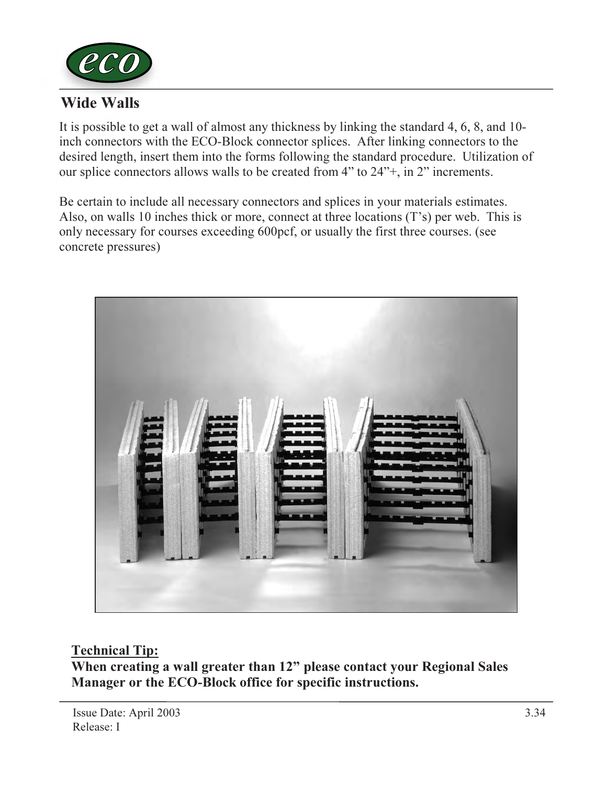

# Wide Walls

It is possible to get a wall of almost any thickness by linking the standard 4, 6, 8, and 10 inch connectors with the ECO-Block connector splices. After linking connectors to the desired length, insert them into the forms following the standard procedure. Utilization of our splice connectors allows walls to be created from 4" to 24"+, in 2" increments.

Be certain to include all necessary connectors and splices in your materials estimates. Also, on walls 10 inches thick or more, connect at three locations (T's) per web. This is only necessary for courses exceeding 600pcf, or usually the first three courses. (see concrete pressures)



**Technical Tip:**<br>When creating a wall greater than 12" please contact your Regional Sales Manager or the ECO-Block office for specific instructions. Manager or the ECO-Block office for specific instructions.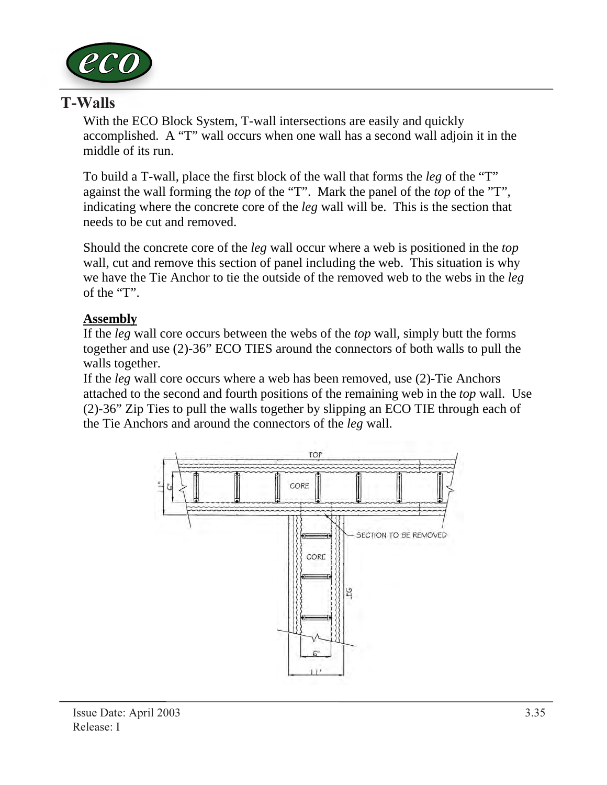

## T-Walls

With the ECO Block System, T-wall intersections are easily and quickly accomplished. A "T" wall occurs when one wall has a second wall adjoin it in the middle of its run.

To build a T-wall, place the first block of the wall that forms the *leg* of the "T" against the wall forming the *top* of the "T". Mark the panel of the *top* of the "T", indicating where the concrete core of the *leg* wall will be. This is the section that needs to be cut and removed.

Should the concrete core of the *leg* wall occur where a web is positioned in the *top* wall, cut and remove this section of panel including the web. This situation is why we have the Tie Anchor to tie the outside of the removed web to the webs in the *leg* of the "T".

#### **Assembly**

If the *leg* wall core occurs between the webs of the *top* wall, simply butt the forms together and use (2)-36" ECO TIES around the connectors of both walls to pull the walls together.

If the *leg* wall core occurs where a web has been removed, use (2)-Tie Anchors attached to the second and fourth positions of the remaining web in the *top* wall. Use (2)-36" Zip Ties to pull the walls together by slipping an ECO TIE through each of the Tie Anchors and around the connectors of the *leg* wall.

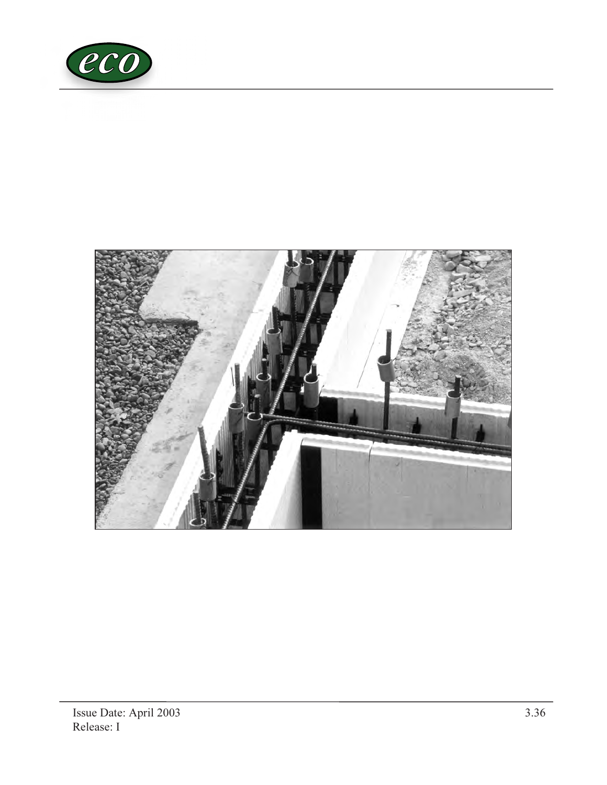

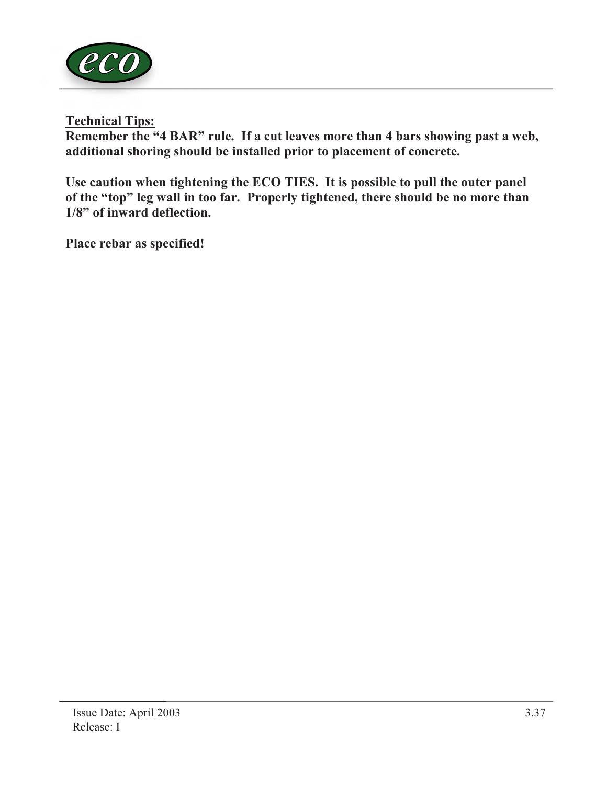

Technical Tips: Remember the "4 BAR" rule. If a cut leaves more than 4 bars showing past a web, additional shoring should be installed prior to placement of concrete.

Use caution when tightening the ECO TIES. It is possible to pull the outer panel of the "top" leg wall in too far. Properly tightened, there should be no more than 1/8" of inward deflection.

Place rebar as specified!